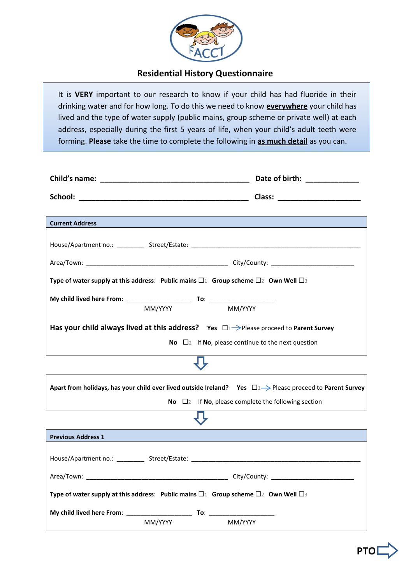

## **Residential History Questionnaire**

It is **VERY** important to our research to know if your child has had fluoride in their drinking water and for how long. To do this we need to know **everywhere** your child has lived and the type of water supply (public mains, group scheme or private well) at each address, especially during the first 5 years of life, when your child's adult teeth were forming. **Please** take the time to complete the following in **as much detail** as you can.

| <b>Current Address</b>                                                                                                   |                                                                                    |
|--------------------------------------------------------------------------------------------------------------------------|------------------------------------------------------------------------------------|
|                                                                                                                          |                                                                                    |
|                                                                                                                          |                                                                                    |
| Type of water supply at this address: Public mains $\square_1$ Group scheme $\square_2$ Own Well $\square_3$             |                                                                                    |
| MM/YYYY                                                                                                                  | MM/YYYY                                                                            |
| Has your child always lived at this address? Yes $\Box_1 \rightarrow$ Please proceed to Parent Survey                    |                                                                                    |
|                                                                                                                          | <b>No</b> $\Box$ 2 If <b>No</b> , please continue to the next question             |
|                                                                                                                          |                                                                                    |
| Apart from holidays, has your child ever lived outside Ireland? Yes $\Box$ $\rightarrow$ Please proceed to Parent Survey |                                                                                    |
|                                                                                                                          | <b>No</b> $\Box$ <sup>2</sup> If <b>No</b> , please complete the following section |
|                                                                                                                          |                                                                                    |
| <b>Previous Address 1</b>                                                                                                |                                                                                    |
|                                                                                                                          |                                                                                    |
|                                                                                                                          |                                                                                    |
| Type of water supply at this address: Public mains $\square_1$ Group scheme $\square_2$ Own Well $\square_3$             |                                                                                    |
|                                                                                                                          |                                                                                    |
| MM/YYYY                                                                                                                  | MM/YYYY                                                                            |